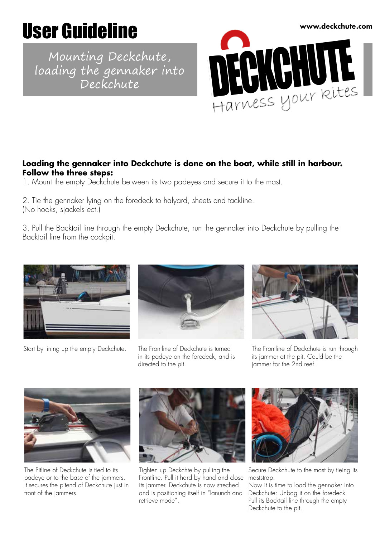## User Guideline

Mounting Deckchute, loading the gennaker into Deckchute



## **Loading the gennaker into Deckchute is done on the boat, while still in harbour. Follow the three steps:**

1. Mount the empty Deckchute between its two padeyes and secure it to the mast.

2. Tie the gennaker lying on the foredeck to halyard, sheets and tackline. (No hooks, sjackels ect.)

3. Pull the Backtail line through the empty Deckchute, run the gennaker into Deckchute by pulling the Backtail line from the cockpit.



Start by lining up the empty Deckchute. The Frontline of Deckchute is turned



in its padeye on the foredeck, and is directed to the pit.



The Frontline of Deckchute is run through its jammer at the pit. Could be the jammer for the 2nd reef.



The Pitline of Deckchute is tied to its padeye or to the base of the jammers. It secures the pitend of Deckchute just in front of the jammers.



Tighten up Deckchte by pulling the Frontline. Pull it hard by hand and close its jammer. Deckchute is now streched and is positioning itself in "lanunch and retrieve mode".



Secure Deckchute to the mast by tieing its maststrap.

Now it is time to load the gennaker into Deckchute: Unbag it on the foredeck. Pull its Backtail line through the empty Deckchute to the pit.